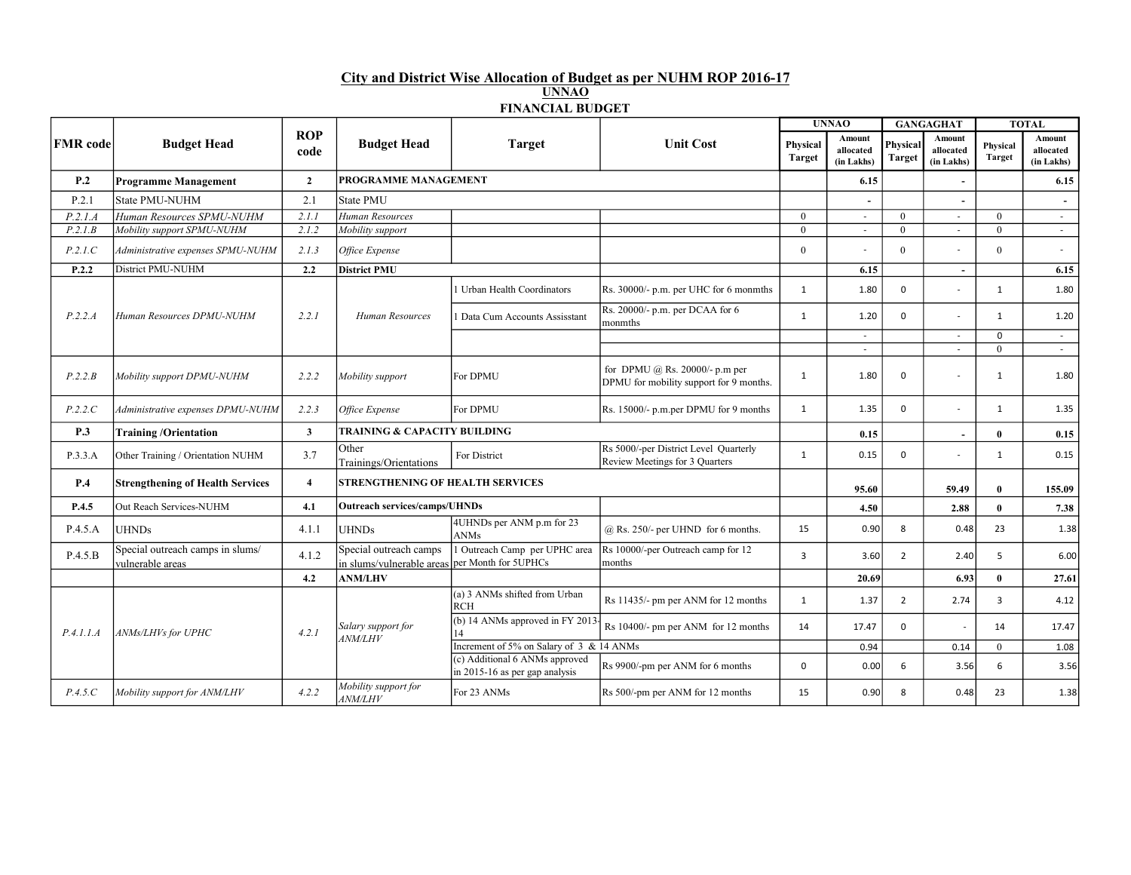## City and District Wise Allocation of Budget as per NUHM ROP 2016-17 UNNAO FINANCIAL BUDGET

|                 |                                                      |                    |                                                                          |                                                                    |                                                                               |                           | <b>UNNAO</b>                      |                           | <b>GANGAGHAT</b>                  |                           | <b>TOTAL</b>                      |
|-----------------|------------------------------------------------------|--------------------|--------------------------------------------------------------------------|--------------------------------------------------------------------|-------------------------------------------------------------------------------|---------------------------|-----------------------------------|---------------------------|-----------------------------------|---------------------------|-----------------------------------|
| <b>FMR</b> code | <b>Budget Head</b>                                   | <b>ROP</b><br>code | <b>Budget Head</b>                                                       | <b>Target</b>                                                      | <b>Unit Cost</b>                                                              | Physical<br><b>Target</b> | Amount<br>allocated<br>(in Lakhs) | Physical<br><b>Target</b> | Amount<br>allocated<br>(in Lakhs) | Physical<br><b>Target</b> | Amount<br>allocated<br>(in Lakhs) |
| P.2             | <b>Programme Management</b>                          | $\overline{2}$     |                                                                          | PROGRAMME MANAGEMENT                                               |                                                                               |                           | 6.15                              |                           | $\blacksquare$                    |                           | 6.15                              |
| P.2.1           | State PMU-NUHM                                       | 2.1                | <b>State PMU</b>                                                         |                                                                    |                                                                               |                           |                                   |                           | $\blacksquare$                    |                           | $\overline{\phantom{a}}$          |
| P.2.1.A         | Human Resources SPMU-NUHM                            | 2.1.1              | Human Resources                                                          |                                                                    |                                                                               | $\theta$                  | $\sim$                            | $\theta$                  | $\sim$                            | $\theta$                  | $\sim$                            |
| P.2.1.B         | Mobility support SPMU-NUHM                           | 2.1.2              | Mobility support                                                         |                                                                    |                                                                               | $\theta$                  | $\sim$                            | $\theta$                  | $\overline{a}$                    | $\theta$                  | $\sim$                            |
| P.2.1.C         | Administrative expenses SPMU-NUHM                    | 2.1.3              | Office Expense                                                           |                                                                    |                                                                               | $\theta$                  | L.                                | $\theta$                  |                                   | $\theta$                  | $\sim$                            |
| P.2.2           | District PMU-NUHM                                    | 2.2                | <b>District PMU</b>                                                      |                                                                    |                                                                               |                           | 6.15                              |                           | $\sim$                            |                           | 6.15                              |
|                 |                                                      |                    |                                                                          | Urban Health Coordinators                                          | Rs. 30000/- p.m. per UHC for 6 monmths                                        | 1                         | 1.80                              | 0                         | $\overline{a}$                    | 1                         | 1.80                              |
| P.2.2.A         | Human Resources DPMU-NUHM                            | 2.2.1              | Human Resources                                                          | Data Cum Accounts Assisstant                                       | Rs. 20000/- p.m. per DCAA for 6<br>monmths                                    | 1                         | 1.20                              | $\Omega$                  | $\overline{\phantom{a}}$          | 1                         | 1.20                              |
|                 |                                                      |                    |                                                                          |                                                                    |                                                                               |                           | $\sim$                            |                           | $\overline{\phantom{a}}$          | $\mathbf 0$               | $\sim$                            |
|                 |                                                      |                    |                                                                          |                                                                    |                                                                               |                           | $\sim$                            |                           | $\overline{\phantom{a}}$          | $\overline{0}$            | $\sim$                            |
| P.2.2.B         | Mobility support DPMU-NUHM                           | 2.2.2              | Mobility support                                                         | For DPMU                                                           | for DPMU $(a)$ Rs. 20000/- p.m per<br>DPMU for mobility support for 9 months. | 1                         | 1.80                              | $\mathbf 0$               |                                   | 1                         | 1.80                              |
| P.2.2.C         | Administrative expenses DPMU-NUHM                    | 2.2.3              | Office Expense                                                           | For DPMU                                                           | Rs. 15000/- p.m.per DPMU for 9 months                                         | 1                         | 1.35                              | $\mathbf 0$               | ÷,                                | 1                         | 1.35                              |
| P.3             | <b>Training/Orientation</b>                          | $\mathbf{3}$       | <b>TRAINING &amp; CAPACITY BUILDING</b>                                  |                                                                    |                                                                               |                           | 0.15                              |                           | $\sim$                            | $\mathbf{0}$              | 0.15                              |
| P.3.3.A         | Other Training / Orientation NUHM                    | 3.7                | Other<br>Trainings/Orientations                                          | For District                                                       | Rs 5000/-per District Level Quarterly<br>Review Meetings for 3 Quarters       | 1                         | 0.15                              | $\mathbf 0$               | $\overline{a}$                    | 1                         | 0.15                              |
| <b>P.4</b>      | <b>Strengthening of Health Services</b>              | $\overline{4}$     |                                                                          | <b>STRENGTHENING OF HEALTH SERVICES</b>                            |                                                                               |                           | 95.60                             |                           | 59.49                             | $\mathbf{0}$              | 155.09                            |
| P.4.5           | Out Reach Services-NUHM                              | 4.1                | <b>Outreach services/camps/UHNDs</b>                                     |                                                                    |                                                                               |                           | 4.50                              |                           | 2.88                              | $\mathbf{0}$              | 7.38                              |
| P.4.5.A         | <b>UHNDs</b>                                         | 4.1.1              | UHND <sub>s</sub>                                                        | 4UHNDs per ANM p.m for 23<br><b>ANMs</b>                           | $@$ Rs. 250/- per UHND for 6 months.                                          | 15                        | 0.90                              | 8                         | 0.48                              | 23                        | 1.38                              |
| P.4.5.B         | Special outreach camps in slums/<br>vulnerable areas | 4.1.2              | Special outreach camps<br>in slums/vulnerable areas per Month for 5UPHCs | 1 Outreach Camp per UPHC area                                      | Rs 10000/-per Outreach camp for 12<br>months                                  | $\overline{3}$            | 3.60                              | $\overline{2}$            | 2.40                              | 5                         | 6.00                              |
|                 |                                                      | 4.2                | <b>ANM/LHV</b>                                                           |                                                                    |                                                                               |                           | 20.69                             |                           | 6.93                              | $\mathbf{0}$              | 27.61                             |
|                 |                                                      |                    |                                                                          | (a) 3 ANMs shifted from Urban<br><b>RCH</b>                        | Rs 11435/- pm per ANM for 12 months                                           | 1                         | 1.37                              | $\overline{2}$            | 2.74                              | 3                         | 4.12                              |
| P.4.1.1.A       | ANMs/LHVs for UPHC                                   | 4.2.1              | Salary support for<br><b>ANM/LHV</b>                                     | (b) 14 ANMs approved in FY 2013-<br>14                             | Rs 10400/- pm per ANM for 12 months                                           | 14                        | 17.47                             | $\mathbf 0$               | $\overline{\phantom{a}}$          | 14                        | 17.47                             |
|                 |                                                      |                    |                                                                          | Increment of 5% on Salary of 3 & 14 ANMs                           |                                                                               |                           | 0.94                              |                           | 0.14                              | $\overline{0}$            | 1.08                              |
|                 |                                                      |                    |                                                                          | (c) Additional 6 ANMs approved<br>in $2015-16$ as per gap analysis | Rs 9900/-pm per ANM for 6 months                                              | 0                         | 0.00                              | 6                         | 3.56                              | 6                         | 3.56                              |
| P.4.5.C         | Mobility support for ANM/LHV                         | 4.2.2              | Mobility support for<br><b>ANM/LHV</b>                                   | For 23 ANMs                                                        | Rs 500/-pm per ANM for 12 months                                              | 15                        | 0.90                              | 8                         | 0.48                              | 23                        | 1.38                              |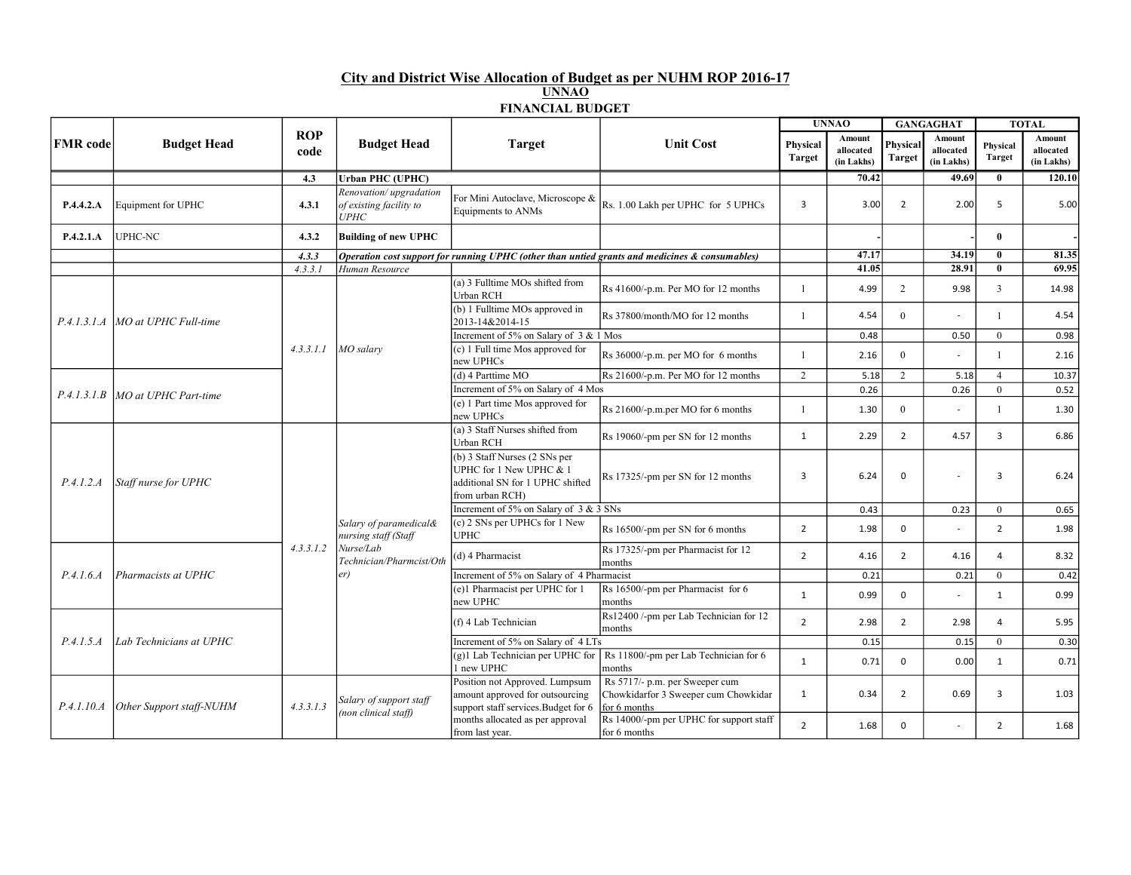## City and District Wise Allocation of Budget as per NUHM ROP 2016-17 UNNAO

|  |  |              | ---------               |  |  |
|--|--|--------------|-------------------------|--|--|
|  |  | <b>UNNAO</b> |                         |  |  |
|  |  |              | <b>FINANCIAL BUDGET</b> |  |  |

|                 | <b>Budget Head</b>                             | <b>ROP</b><br>code | <b>Budget Head</b>                                        |                                                                                                                 | <b>Unit Cost</b>                                                                                  | <b>UNNAO</b>              |                                   | <b>GANGAGHAT</b>   |                                          | <b>TOTAL</b>       |                                   |
|-----------------|------------------------------------------------|--------------------|-----------------------------------------------------------|-----------------------------------------------------------------------------------------------------------------|---------------------------------------------------------------------------------------------------|---------------------------|-----------------------------------|--------------------|------------------------------------------|--------------------|-----------------------------------|
| <b>FMR</b> code |                                                |                    |                                                           | <b>Target</b>                                                                                                   |                                                                                                   | Physical<br><b>Target</b> | Amount<br>allocated<br>(in Lakhs) | Physical<br>Target | <b>Amount</b><br>allocated<br>(in Lakhs) | Physical<br>Target | Amount<br>allocated<br>(in Lakhs) |
|                 |                                                | 4.3                | <b>Urban PHC (UPHC)</b>                                   |                                                                                                                 |                                                                                                   |                           | 70.42                             |                    | 49.69                                    | $\mathbf{0}$       | 120.10                            |
| P.4.4.2.A       | Equipment for UPHC                             | 4.3.1              | Renovation/upgradation<br>of existing facility to<br>UPHC | For Mini Autoclave, Microscope &<br><b>Equipments to ANMs</b>                                                   | Rs. 1.00 Lakh per UPHC for 5 UPHCs                                                                | 3                         | 3.00                              | $\overline{2}$     | 2.00                                     | 5                  | 5.00                              |
| P.4.2.1.A       | <b>UPHC-NC</b>                                 | 4.3.2              | <b>Building of new UPHC</b>                               |                                                                                                                 |                                                                                                   |                           |                                   |                    |                                          | $\mathbf{0}$       |                                   |
|                 |                                                | 4.3.3              |                                                           |                                                                                                                 | Operation cost support for running UPHC (other than untied grants and medicines $\&$ consumables) |                           | 47.17                             |                    | 34.19                                    | $\mathbf{0}$       | 81.35                             |
|                 |                                                | 4.3.3.1            | Human Resource                                            |                                                                                                                 |                                                                                                   |                           | 41.05                             |                    | 28.91                                    | $\mathbf{0}$       | 69.95                             |
|                 |                                                |                    |                                                           | (a) 3 Fulltime MOs shifted from<br>Urban RCH                                                                    | Rs 41600/-p.m. Per MO for 12 months                                                               | $\mathbf{1}$              | 4.99                              | 2                  | 9.98                                     | $\mathbf{3}$       | 14.98                             |
| P.4.1.3.1.4     | MO at UPHC Full-time                           |                    |                                                           | (b) 1 Fulltime MOs approved in<br>2013-14&2014-15                                                               | Rs 37800/month/MO for 12 months                                                                   | $\mathbf{1}$              | 4.54                              | $\theta$           | $\mathbf{r}$                             | $\overline{1}$     | 4.54                              |
|                 |                                                |                    |                                                           | Increment of 5% on Salary of 3 & 1 Mos                                                                          |                                                                                                   |                           | 0.48                              |                    | 0.50                                     | $\mathbf{0}$       | 0.98                              |
|                 |                                                | 4.3.3.1.1          | $MO$ salary                                               | $(c)$ 1 Full time Mos approved for<br>new UPHCs                                                                 | Rs 36000/-p.m. per MO for 6 months                                                                | $\mathbf{1}$              | 2.16                              | $\overline{0}$     |                                          | $\mathbf{1}$       | 2.16                              |
|                 | MO at UPHC Part-time                           |                    |                                                           | (d) 4 Parttime MO                                                                                               | Rs 21600/-p.m. Per MO for 12 months                                                               | 2                         | 5.18                              | $\overline{2}$     | 5.18                                     | $\overline{4}$     | 10.37                             |
| P.4.1.3.1.B     |                                                |                    |                                                           | Increment of 5% on Salary of 4 Mos                                                                              |                                                                                                   |                           | 0.26                              |                    | 0.26                                     | $\overline{0}$     | 0.52                              |
|                 |                                                |                    |                                                           | (e) 1 Part time Mos approved for<br>new UPHCs                                                                   | Rs 21600/-p.m.per MO for 6 months                                                                 | 1                         | 1.30                              | $\overline{0}$     |                                          | $\mathbf{1}$       | 1.30                              |
|                 | Staff nurse for UPHC                           |                    | Salary of paramedical&<br>nursing staff (Staff            | (a) 3 Staff Nurses shifted from<br>Urban RCH                                                                    | Rs 19060/-pm per SN for 12 months                                                                 | 1                         | 2.29                              | $\overline{2}$     | 4.57                                     | $\overline{3}$     | 6.86                              |
| P.4.1.2.A       |                                                |                    |                                                           | (b) 3 Staff Nurses (2 SNs per<br>UPHC for 1 New UPHC & 1<br>additional SN for 1 UPHC shifted<br>from urban RCH) | Rs 17325/-pm per SN for 12 months                                                                 | $\overline{3}$            | 6.24                              | $\mathbf 0$        |                                          | $\overline{3}$     | 6.24                              |
|                 |                                                |                    |                                                           | Increment of 5% on Salary of 3 & 3 SNs                                                                          |                                                                                                   |                           | 0.43                              |                    | 0.23                                     | $\overline{0}$     | 0.65                              |
|                 |                                                |                    |                                                           | $(c)$ 2 SNs per UPHCs for 1 New<br><b>UPHC</b>                                                                  | Rs 16500/-pm per SN for 6 months                                                                  | $\overline{2}$            | 1.98                              | $\mathbf 0$        |                                          | $\overline{2}$     | 1.98                              |
|                 | Pharmacists at UPHC<br>Lab Technicians at UPHC | 4, 3, 3, 1, 2      | Nurse/Lab<br>Technician/Pharmcist/Oth                     | (d) 4 Pharmacist<br>months                                                                                      | Rs 17325/-pm per Pharmacist for 12                                                                | $\overline{2}$            | 4.16                              | $\overline{2}$     | 4.16                                     | $\overline{4}$     | 8.32                              |
| P.4.1.6.4       |                                                |                    | er)                                                       | Increment of 5% on Salary of 4 Pharmacist                                                                       |                                                                                                   |                           | 0.21                              |                    | 0.21                                     | $\overline{0}$     | 0.42                              |
|                 |                                                |                    |                                                           | (e)1 Pharmacist per UPHC for 1<br>new UPHC                                                                      | Rs 16500/-pm per Pharmacist for 6<br>months                                                       | 1                         | 0.99                              | $\mathbf 0$        | $\sim$                                   | 1                  | 0.99                              |
| P.4.1.5.A       |                                                |                    |                                                           | (f) 4 Lab Technician                                                                                            | Rs12400 /-pm per Lab Technician for 12<br>months                                                  | $\overline{2}$            | 2.98                              | $\overline{2}$     | 2.98                                     | $\overline{4}$     | 5.95                              |
|                 |                                                |                    |                                                           | Increment of 5% on Salary of 4 LTs                                                                              |                                                                                                   |                           | 0.15                              |                    | 0.15                                     | $\overline{0}$     | 0.30                              |
|                 |                                                |                    |                                                           | $(g)$ 1 Lab Technician per UPHC for<br>1 new UPHC                                                               | Rs 11800/-pm per Lab Technician for 6<br>months                                                   | 1                         | 0.71                              | $\mathbf 0$        | 0.00                                     | 1                  | 0.71                              |
| P.4.1.10.A      | Other Support staff-NUHM                       | 4.3.3.1.3          | Salary of support staff<br>(non clinical staff)           | Position not Approved. Lumpsum<br>amount approved for outsourcing<br>support staff services. Budget for 6       | Rs 5717/- p.m. per Sweeper cum<br>Chowkidarfor 3 Sweeper cum Chowkidar<br>for 6 months            | 1                         | 0.34                              | $\overline{2}$     | 0.69                                     | $\overline{3}$     | 1.03                              |
|                 |                                                |                    |                                                           | months allocated as per approval<br>from last year.                                                             | Rs 14000/-pm per UPHC for support staff<br>for 6 months                                           | 2                         | 1.68                              | $\Omega$           |                                          | $\overline{2}$     | 1.68                              |